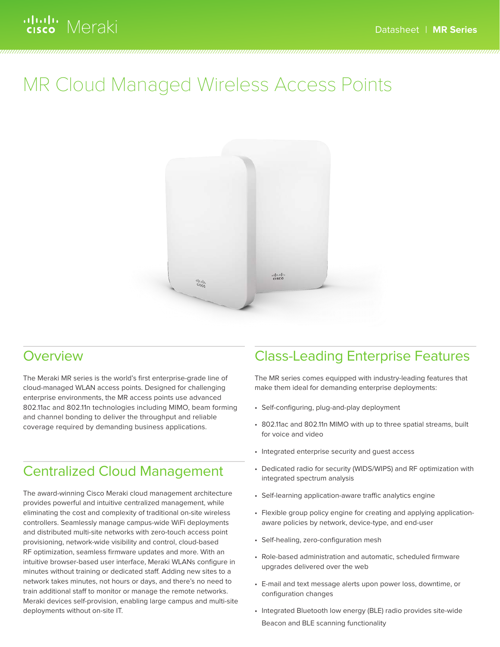# ululu Meraki

# MR Cloud Managed Wireless Access Points



#### Overview

The Meraki MR series is the world's first enterprise-grade line of cloud-managed WLAN access points. Designed for challenging enterprise environments, the MR access points use advanced 802.11ac and 802.11n technologies including MIMO, beam forming and channel bonding to deliver the throughput and reliable coverage required by demanding business applications.

### Centralized Cloud Management

The award-winning Cisco Meraki cloud management architecture provides powerful and intuitive centralized management, while eliminating the cost and complexity of traditional on-site wireless controllers. Seamlessly manage campus-wide WiFi deployments and distributed multi-site networks with zero-touch access point provisioning, network-wide visibility and control, cloud-based RF optimization, seamless firmware updates and more. With an intuitive browser-based user interface, Meraki WLANs configure in minutes without training or dedicated staff. Adding new sites to a network takes minutes, not hours or days, and there's no need to train additional staff to monitor or manage the remote networks. Meraki devices self-provision, enabling large campus and multi-site deployments without on-site IT.

#### Class-Leading Enterprise Features

The MR series comes equipped with industry-leading features that make them ideal for demanding enterprise deployments:

- Self-configuring, plug-and-play deployment
- 802.11ac and 802.11n MIMO with up to three spatial streams, built for voice and video
- Integrated enterprise security and guest access
- Dedicated radio for security (WIDS/WIPS) and RF optimization with integrated spectrum analysis
- Self-learning application-aware traffic analytics engine
- Flexible group policy engine for creating and applying applicationaware policies by network, device-type, and end-user
- Self-healing, zero-configuration mesh
- Role-based administration and automatic, scheduled firmware upgrades delivered over the web
- E-mail and text message alerts upon power loss, downtime, or configuration changes
- Integrated Bluetooth low energy (BLE) radio provides site-wide Beacon and BLE scanning functionality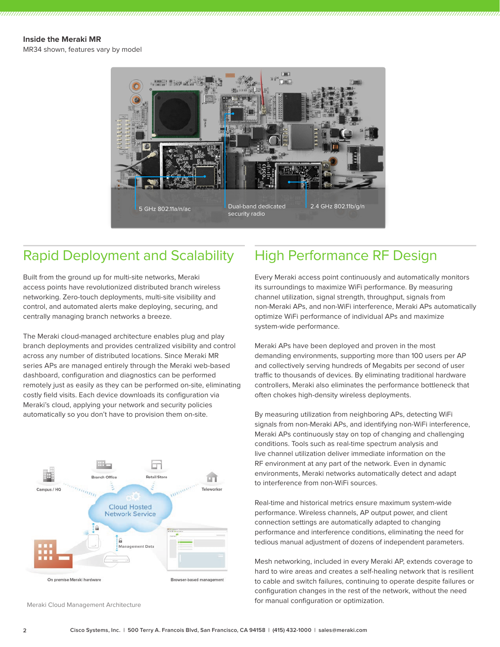#### **Inside the Meraki MR**

MR34 shown, features vary by model



#### Rapid Deployment and Scalability

Built from the ground up for multi-site networks, Meraki access points have revolutionized distributed branch wireless networking. Zero-touch deployments, multi-site visibility and control, and automated alerts make deploying, securing, and centrally managing branch networks a breeze.

The Meraki cloud-managed architecture enables plug and play branch deployments and provides centralized visibility and control across any number of distributed locations. Since Meraki MR series APs are managed entirely through the Meraki web-based dashboard, configuration and diagnostics can be performed remotely just as easily as they can be performed on-site, eliminating costly field visits. Each device downloads its configuration via Meraki's cloud, applying your network and security policies automatically so you don't have to provision them on-site.



Meraki Cloud Management Architecture

#### High Performance RF Design

Every Meraki access point continuously and automatically monitors its surroundings to maximize WiFi performance. By measuring channel utilization, signal strength, throughput, signals from non-Meraki APs, and non-WiFi interference, Meraki APs automatically optimize WiFi performance of individual APs and maximize system-wide performance.

Meraki APs have been deployed and proven in the most demanding environments, supporting more than 100 users per AP and collectively serving hundreds of Megabits per second of user traffic to thousands of devices. By eliminating traditional hardware controllers, Meraki also eliminates the performance bottleneck that often chokes high-density wireless deployments.

By measuring utilization from neighboring APs, detecting WiFi signals from non-Meraki APs, and identifying non-WiFi interference, Meraki APs continuously stay on top of changing and challenging conditions. Tools such as real-time spectrum analysis and live channel utilization deliver immediate information on the RF environment at any part of the network. Even in dynamic environments, Meraki networks automatically detect and adapt to interference from non-WiFi sources.

Real-time and historical metrics ensure maximum system-wide performance. Wireless channels, AP output power, and client connection settings are automatically adapted to changing performance and interference conditions, eliminating the need for tedious manual adjustment of dozens of independent parameters.

Mesh networking, included in every Meraki AP, extends coverage to hard to wire areas and creates a self-healing network that is resilient to cable and switch failures, continuing to operate despite failures or configuration changes in the rest of the network, without the need for manual configuration or optimization.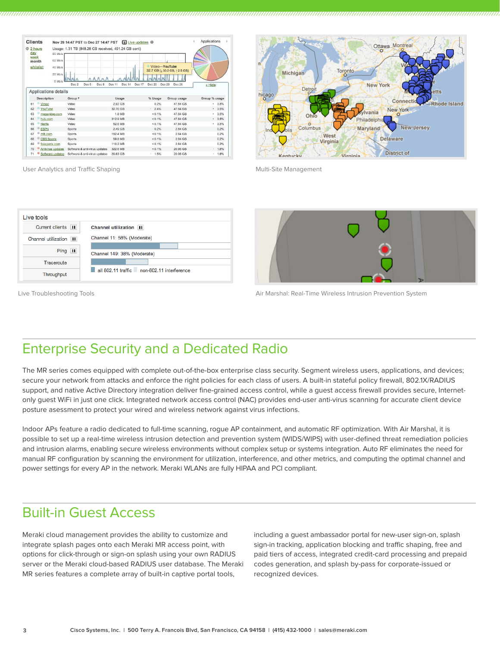| <b>Clients</b>                           |                          | Nov 29 14:47 PST to Dec 27 14:47 PST                                     |                                                                                  | 1 Live updates <sup>®</sup>                        |                                       | Applications  |
|------------------------------------------|--------------------------|--------------------------------------------------------------------------|----------------------------------------------------------------------------------|----------------------------------------------------|---------------------------------------|---------------|
| <b>© 2 hours</b><br>day<br>week<br>month | whitelist                | 80 Mb/s<br>60 Mb/s<br>40 Mb/s<br>$20$ Mb/s<br>$0$ Mb/s<br>Dec 2<br>Dec 5 | Usage: 1.31 TB (848.28 GB received, 491.24 GB sent)<br>Dec 8<br>Dec 11<br>Dec 14 | Video-YouTube<br>Dec 17<br><b>Dec 20</b><br>Dec 23 | 32.7 GB (130.2 GB, 12.5 GB)<br>Dec 26 | « Hide        |
|                                          | Applications details     |                                                                          |                                                                                  |                                                    |                                       |               |
|                                          | <b>Description</b>       | Group <b>v</b>                                                           | Usage                                                                            | % Usage                                            | Group usage                           | Group % usage |
| 61                                       | Vimeo                    | Video                                                                    | 2.92 GB                                                                          | 0.2%                                               | 47.84 GB                              | .3.5%         |
| 62                                       | YouTube                  | Video                                                                    | 32.70 GB                                                                         | .24%                                               | 47.84 GB                              | .3.5%         |
| 63                                       | megavideo.com            | Video                                                                    | <b>1.8 MB</b>                                                                    | < 0.1%                                             | 47.84 GB                              | .35%          |
| 64                                       | hulu.com                 | Video                                                                    | 312.9 MB                                                                         | $< 0.1\%$                                          | 47.84 GB                              | .3.5%         |
| 65                                       | Netflix                  | Video                                                                    | 52.6 MB                                                                          | < 0.1%                                             | 47.84 GB                              | 3.5%<br>×.    |
| 66                                       | <b>ESPN</b>              | Sports                                                                   | 249 GB                                                                           | 0.2%                                               | 2.84 GB                               | 0.2%          |
| 67                                       | mlb.com                  | Sports                                                                   | 192.4 MB                                                                         | $< 0.1\%$                                          | 2.84 GB                               | 0.2%          |
| 68                                       | <b>CBS Sports</b>        | Sports                                                                   | 59.8 MB                                                                          | < 0.1%                                             | 2.84 GB                               | 0.2%          |
| 69                                       | foxsports.com            | Sports                                                                   | 110.2 MB                                                                         | $< 0.1\%$                                          | 2.84 GB                               | 0.2%          |
| 70                                       | <b>Antivirus updates</b> | Software & anti-virus updates                                            | 322.6 MB                                                                         | $< 0.1\%$                                          | 20.95 GB                              | . 1.6%        |
| 71                                       | Software updates         | Software & anti-virus updates                                            | 20.63 GB                                                                         | 1.5%                                               | 20.95 GB                              | 1.6%<br>×.    |

Ottawa Montr Toronto Michigan New York Detroi Connect **Rhode Island** New York rania iladelph **New Jersey** Maryland Columbus West **Delaware** Virginia **District of** 

User Analytics and Traffic Shaping



Live Troubleshooting Tools



Air Marshal: Real-Time Wireless Intrusion Prevention System

Multi-Site Management

### Enterprise Security and a Dedicated Radio

The MR series comes equipped with complete out-of-the-box enterprise class security. Segment wireless users, applications, and devices; secure your network from attacks and enforce the right policies for each class of users. A built-in stateful policy firewall, 802.1X/RADIUS support, and native Active Directory integration deliver fine-grained access control, while a guest access firewall provides secure, Internetonly guest WiFi in just one click. Integrated network access control (NAC) provides end-user anti-virus scanning for accurate client device posture asessment to protect your wired and wireless network against virus infections.

Indoor APs feature a radio dedicated to full-time scanning, rogue AP containment, and automatic RF optimization. With Air Marshal, it is possible to set up a real-time wireless intrusion detection and prevention system (WIDS/WIPS) with user-defined threat remediation policies and intrusion alarms, enabling secure wireless environments without complex setup or systems integration. Auto RF eliminates the need for manual RF configuration by scanning the environment for utilization, interference, and other metrics, and computing the optimal channel and power settings for every AP in the network. Meraki WLANs are fully HIPAA and PCI compliant.

#### Built-in Guest Access

Meraki cloud management provides the ability to customize and integrate splash pages onto each Meraki MR access point, with options for click-through or sign-on splash using your own RADIUS server or the Meraki cloud-based RADIUS user database. The Meraki MR series features a complete array of built-in captive portal tools,

including a guest ambassador portal for new-user sign-on, splash sign-in tracking, application blocking and traffic shaping, free and paid tiers of access, integrated credit-card processing and prepaid codes generation, and splash by-pass for corporate-issued or recognized devices.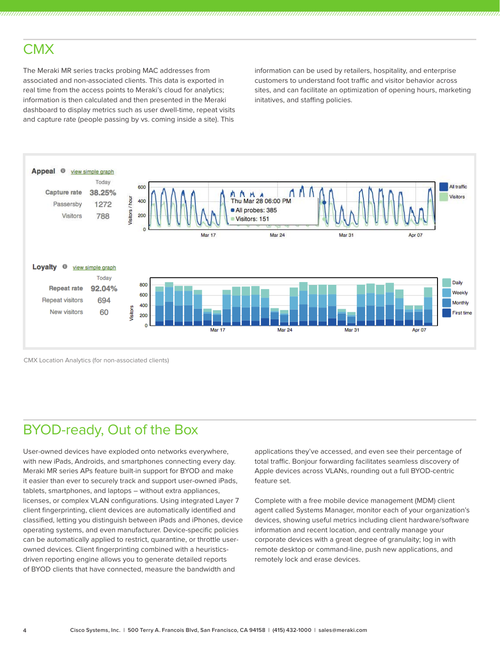### **CMX**

The Meraki MR series tracks probing MAC addresses from associated and non-associated clients. This data is exported in real time from the access points to Meraki's cloud for analytics; information is then calculated and then presented in the Meraki dashboard to display metrics such as user dwell-time, repeat visits and capture rate (people passing by vs. coming inside a site). This

information can be used by retailers, hospitality, and enterprise customers to understand foot traffic and visitor behavior across sites, and can facilitate an optimization of opening hours, marketing initatives, and staffing policies.



CMX Location Analytics (for non-associated clients)

## BYOD-ready, Out of the Box

User-owned devices have exploded onto networks everywhere, with new iPads, Androids, and smartphones connecting every day. Meraki MR series APs feature built-in support for BYOD and make it easier than ever to securely track and support user-owned iPads, tablets, smartphones, and laptops – without extra appliances, licenses, or complex VLAN configurations. Using integrated Layer 7 client fingerprinting, client devices are automatically identified and classified, letting you distinguish between iPads and iPhones, device operating systems, and even manufacturer. Device-specific policies can be automatically applied to restrict, quarantine, or throttle userowned devices. Client fingerprinting combined with a heuristicsdriven reporting engine allows you to generate detailed reports of BYOD clients that have connected, measure the bandwidth and

applications they've accessed, and even see their percentage of total traffic. Bonjour forwarding facilitates seamless discovery of Apple devices across VLANs, rounding out a full BYOD-centric feature set.

Complete with a free mobile device management (MDM) client agent called Systems Manager, monitor each of your organization's devices, showing useful metrics including client hardware/software information and recent location, and centrally manage your corporate devices with a great degree of granulaity; log in with remote desktop or command-line, push new applications, and remotely lock and erase devices.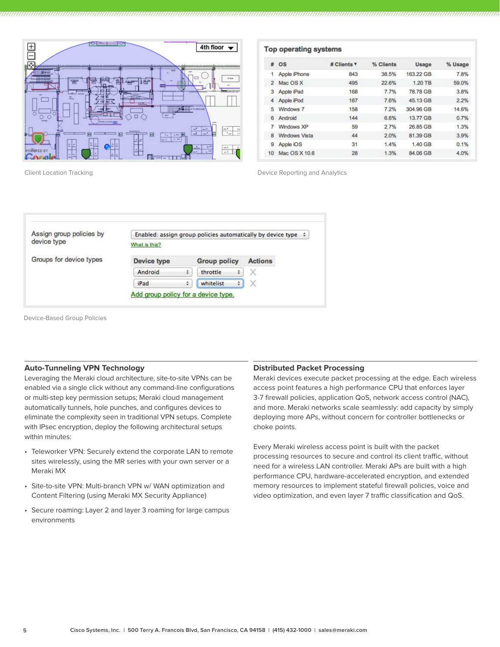

| #  | <b>OS</b>            | # Clients v | % Clients | <b>Usage</b> | % Usage |
|----|----------------------|-------------|-----------|--------------|---------|
| 1  | Apple iPhone         | 843         | 38.5%     | 163.22 GB    | 7.8%    |
| 2  | Mac OS X             | 495         | 22.6%     | 1.20 TB      | 59.0%   |
| 3  | Apple iPad           | 168         | 7.7%      | 78.78 GB     | 3.8%    |
| 4  | Apple iPod           | 167         | 7.6%      | 45.13 GB     | 2.2%    |
| 5  | Windows 7            | 158         | 7.2%      | 304.96 GB    | 14.6%   |
| 6  | Android              | 144         | 6.6%      | 13.77 GB     | 0.7%    |
| 7  | Windows XP           | 59          | 2.7%      | 26.85 GB     | 1.3%    |
| 8  | <b>Windows Vista</b> | 44          | 2.0%      | 81.39 GB     | 3.9%    |
| 9  | Apple iOS            | 31          | 1.4%      | 1.40 GB      | 0.1%    |
| 10 | Mac OS X 10.6        | 28          | 1.3%      | 84.06 GB     | 4.0%    |

Client Location Tracking Device Reporting and Analytics

| Assign group policies by | Enabled: assign group policies automatically by device type $\div$ |   |                     |   |                |  |
|--------------------------|--------------------------------------------------------------------|---|---------------------|---|----------------|--|
| device type              | What is this?                                                      |   |                     |   |                |  |
| Groups for device types  | Device type                                                        |   | <b>Group policy</b> |   | <b>Actions</b> |  |
|                          | Android                                                            | ÷ | throttle            | ٠ | X              |  |
|                          | iPad                                                               | ÷ | whitelist           |   | $\times$       |  |

Device-Based Group Policies

#### **Auto-Tunneling VPN Technology**

Leveraging the Meraki cloud architecture, site-to-site VPNs can be enabled via a single click without any command-line configurations or multi-step key permission setups; Meraki cloud management automatically tunnels, hole punches, and configures devices to eliminate the complexity seen in traditional VPN setups. Complete with IPsec encryption, deploy the following architectural setups within minutes:

- Teleworker VPN: Securely extend the corporate LAN to remote sites wirelessly, using the MR series with your own server or a Meraki MX
- Site-to-site VPN: Multi-branch VPN w/ WAN optimization and Content Filtering (using Meraki MX Security Appliance)
- Secure roaming: Layer 2 and layer 3 roaming for large campus environments

#### **Distributed Packet Processing**

Meraki devices execute packet processing at the edge. Each wireless access point features a high performance CPU that enforces layer 3-7 firewall policies, application QoS, network access control (NAC), and more. Meraki networks scale seamlessly: add capacity by simply deploying more APs, without concern for controller bottlenecks or choke points.

Every Meraki wireless access point is built with the packet processing resources to secure and control its client traffic, without need for a wireless LAN controller. Meraki APs are built with a high performance CPU, hardware-accelerated encryption, and extended memory resources to implement stateful firewall policies, voice and video optimization, and even layer 7 traffic classification and QoS.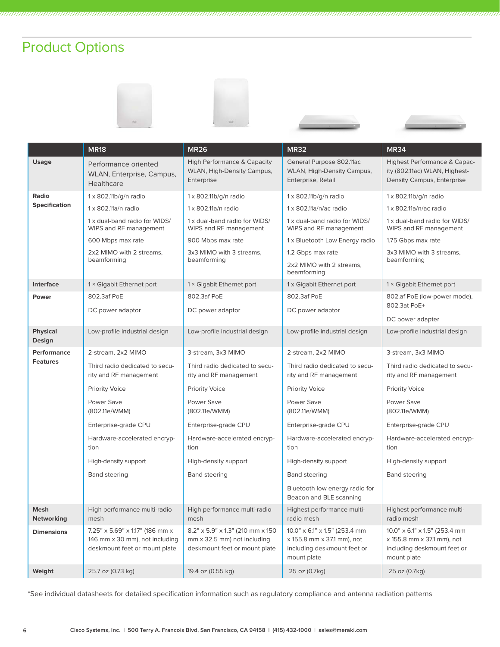# Product Options









|                           | <b>MR18</b>                                                                                        | <b>MR26</b>                                                                                                 | <b>MR32</b>                                                                                               | <b>MR34</b>                                                                                                   |
|---------------------------|----------------------------------------------------------------------------------------------------|-------------------------------------------------------------------------------------------------------------|-----------------------------------------------------------------------------------------------------------|---------------------------------------------------------------------------------------------------------------|
| <b>Usage</b>              | Performance oriented<br>WLAN, Enterprise, Campus,<br><b>Healthcare</b>                             | <b>High Performance &amp; Capacity</b><br><b>WLAN, High-Density Campus,</b><br>Enterprise                   | General Purpose 802.11ac<br><b>WLAN, High-Density Campus,</b><br>Enterprise, Retail                       | Highest Performance & Capac-<br>ity (802.11ac) WLAN, Highest-<br>Density Campus, Enterprise                   |
| Radio                     | 1 x 802.11b/g/n radio                                                                              | 1 x 802.11b/g/n radio                                                                                       | $1 \times 802.11b/g/n$ radio                                                                              | 1 x 802.11b/g/n radio                                                                                         |
| <b>Specification</b>      | 1 x 802.11a/n radio                                                                                | 1 x 802.11a/n radio                                                                                         | $1 \times 802.11a/n/ac$ radio                                                                             | 1 x 802.11a/n/ac radio                                                                                        |
|                           | 1 x dual-band radio for WIDS/<br>WIPS and RF management                                            | 1 x dual-band radio for WIDS/<br>WIPS and RF management                                                     | 1 x dual-band radio for WIDS/<br>WIPS and RF management                                                   | 1 x dual-band radio for WIDS/<br>WIPS and RF management                                                       |
|                           | 600 Mbps max rate                                                                                  | 900 Mbps max rate                                                                                           | 1 x Bluetooth Low Energy radio                                                                            | 1.75 Gbps max rate                                                                                            |
|                           | 2x2 MIMO with 2 streams,<br>beamforming                                                            | 3x3 MIMO with 3 streams,<br>beamforming                                                                     | 1.2 Gbps max rate<br>2x2 MIMO with 2 streams,<br>beamforming                                              | 3x3 MIMO with 3 streams,<br>beamforming                                                                       |
| <b>Interface</b>          | 1 × Gigabit Ethernet port                                                                          | 1 × Gigabit Ethernet port                                                                                   | 1 x Gigabit Ethernet port                                                                                 | 1 × Gigabit Ethernet port                                                                                     |
| <b>Power</b>              | 802.3af PoE<br>DC power adaptor                                                                    | 802.3af PoE<br>DC power adaptor                                                                             | 802.3af PoE<br>DC power adaptor                                                                           | 802.af PoE (low-power mode),<br>802.3at PoE+                                                                  |
|                           |                                                                                                    |                                                                                                             |                                                                                                           | DC power adapter                                                                                              |
| <b>Physical</b><br>Design | Low-profile industrial design                                                                      | Low-profile industrial design                                                                               | Low-profile industrial design                                                                             | Low-profile industrial design                                                                                 |
| Performance               | 2-stream, 2x2 MIMO                                                                                 | 3-stream, 3x3 MIMO                                                                                          | 2-stream, 2x2 MIMO                                                                                        | 3-stream, 3x3 MIMO                                                                                            |
| <b>Features</b>           | Third radio dedicated to secu-<br>rity and RF management                                           | Third radio dedicated to secu-<br>rity and RF management                                                    | Third radio dedicated to secu-<br>rity and RF management                                                  | Third radio dedicated to secu-<br>rity and RF management                                                      |
|                           | <b>Priority Voice</b>                                                                              | <b>Priority Voice</b>                                                                                       | <b>Priority Voice</b>                                                                                     | <b>Priority Voice</b>                                                                                         |
|                           | Power Save<br>(802.11e/WMM)                                                                        | Power Save<br>(802.11e/WMM)                                                                                 | Power Save<br>(802.11e/WMM)                                                                               | Power Save<br>(802.11e/WMM)                                                                                   |
|                           | Enterprise-grade CPU                                                                               | Enterprise-grade CPU                                                                                        | Enterprise-grade CPU                                                                                      | Enterprise-grade CPU                                                                                          |
|                           | Hardware-accelerated encryp-<br>tion                                                               | Hardware-accelerated encryp-<br>tion                                                                        | Hardware-accelerated encryp-<br>tion                                                                      | Hardware-accelerated encryp-<br>tion                                                                          |
|                           | High-density support                                                                               | High-density support                                                                                        | High-density support                                                                                      | High-density support                                                                                          |
|                           | <b>Band steering</b><br><b>Band steering</b>                                                       |                                                                                                             | <b>Band steering</b>                                                                                      | <b>Band steering</b>                                                                                          |
|                           |                                                                                                    |                                                                                                             | Bluetooth low energy radio for<br>Beacon and BLE scanning                                                 |                                                                                                               |
| Mesh<br><b>Networking</b> | High performance multi-radio<br>mesh                                                               | High performance multi-radio<br>mesh                                                                        | Highest performance multi-<br>radio mesh                                                                  | Highest performance multi-<br>radio mesh                                                                      |
| <b>Dimensions</b>         | 7.25" x 5.69" x 1.17" (186 mm x<br>146 mm x 30 mm), not including<br>deskmount feet or mount plate | 8.2" x 5.9" x 1.3" (210 mm x 150<br>$mm \times 32.5 \, mm$ ) not including<br>deskmount feet or mount plate | 10.0" x 6.1" x 1.5" (253.4 mm<br>x 155.8 mm x 37.1 mm), not<br>including deskmount feet or<br>mount plate | 10.0" x 6.1" x 1.5" (253.4 mm<br>$x$ 155.8 mm $x$ 37.1 mm), not<br>including deskmount feet or<br>mount plate |
| Weight                    | 25.7 oz (0.73 kg)                                                                                  | 19.4 oz (0.55 kg)                                                                                           | 25 oz (0.7kg)                                                                                             | 25 oz (0.7kg)                                                                                                 |

\*See individual datasheets for detailed specification information such as regulatory compliance and antenna radiation patterns